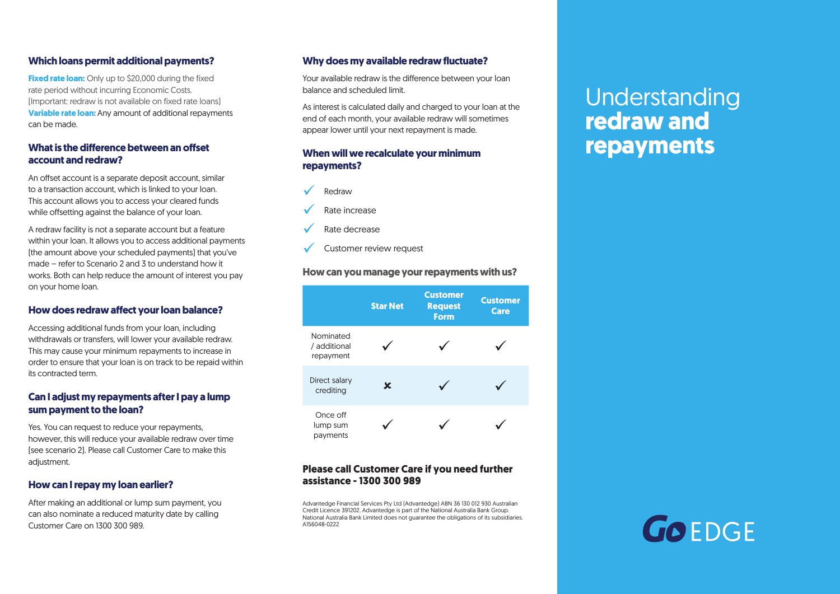### **Which loans permit additional payments?**

**Fixed rate loan:** Only up to \$20,000 during the fixed rate period without incurring Economic Costs. (Important: redraw is not available on fixed rate loans) **Variable rate loan:** Any amount of additional repayments can be made.

### **What is the difference between an offset account and redraw?**

An offset account is a separate deposit account, similar to a transaction account, which is linked to your loan. This account allows you to access your cleared funds while offsetting against the balance of your loan.

A redraw facility is not a separate account but a feature within your loan. It allows you to access additional payments (the amount above your scheduled payments) that you've made – refer to Scenario 2 and 3 to understand how it works. Both can help reduce the amount of interest you pay on your home loan.

### **How does redraw affect your loan balance?**

Accessing additional funds from your loan, including withdrawals or transfers, will lower your available redraw. This may cause your minimum repayments to increase in order to ensure that your loan is on track to be repaid within its contracted term.

### **Can I adjust my repayments after I pay a lump sum payment to the loan?**

Yes. You can request to reduce your repayments, however, this will reduce your available redraw over time (see scenario 2). Please call Customer Care to make this adjustment.

### **How can I repay my loan earlier?**

After making an additional or lump sum payment, you can also nominate a reduced maturity date by calling Customer Care on 1300 300 989.

### **Why does my available redraw fluctuate?**

Your available redraw is the difference between your loan balance and scheduled limit.

As interest is calculated daily and charged to your loan at the end of each month, your available redraw will sometimes appear lower until your next repayment is made.

### **When will we recalculate your minimum repayments?**



Rate increase

- Rate decrease
- Customer review request

#### **How can you manage your repayments with us?**



### **Please call Customer Care if you need further assistance - 1300 300 989**

Advantedge Financial Services Pty Ltd (Advantedge) ABN 36 130 012 930 Australian Credit Licence 391202. Advantedge is part of the National Australia Bank Group. National Australia Bank Limited does not guarantee the obligations of its subsidiaries. A156048-0222

# Understanding **redraw and repayments**

# **GOFDGE**